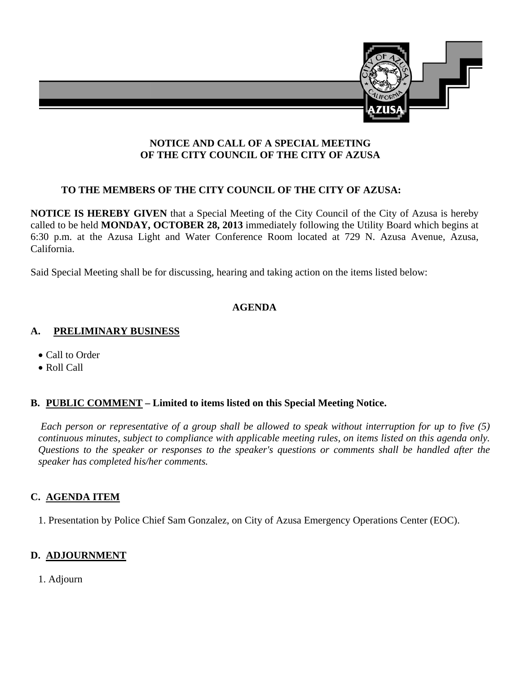

## **NOTICE AND CALL OF A SPECIAL MEETING OF THE CITY COUNCIL OF THE CITY OF AZUSA**

## **TO THE MEMBERS OF THE CITY COUNCIL OF THE CITY OF AZUSA:**

**NOTICE IS HEREBY GIVEN** that a Special Meeting of the City Council of the City of Azusa is hereby called to be held **MONDAY, OCTOBER 28, 2013** immediately following the Utility Board which begins at 6:30 p.m. at the Azusa Light and Water Conference Room located at 729 N. Azusa Avenue, Azusa, California.

Said Special Meeting shall be for discussing, hearing and taking action on the items listed below:

# **AGENDA**

#### **A. PRELIMINARY BUSINESS**

- Call to Order
- Roll Call

## **B. PUBLIC COMMENT – Limited to items listed on this Special Meeting Notice.**

 *Each person or representative of a group shall be allowed to speak without interruption for up to five (5) continuous minutes, subject to compliance with applicable meeting rules, on items listed on this agenda only. Questions to the speaker or responses to the speaker's questions or comments shall be handled after the speaker has completed his/her comments.*

## **C. AGENDA ITEM**

1. Presentation by Police Chief Sam Gonzalez, on City of Azusa Emergency Operations Center (EOC).

## **D. ADJOURNMENT**

1. Adjourn